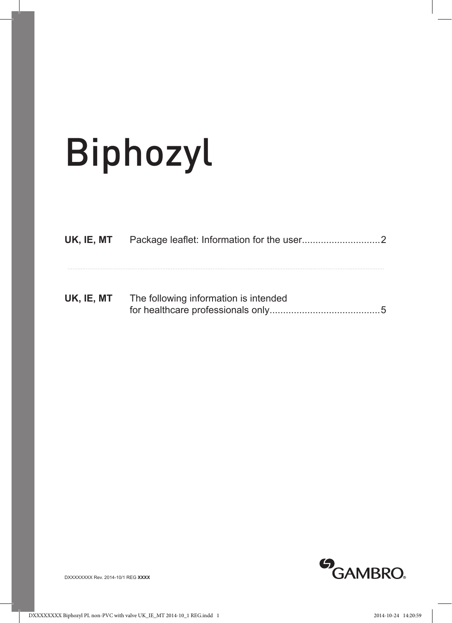# Biphozyl

| UK, IE, MT |                                       |  |
|------------|---------------------------------------|--|
|            |                                       |  |
|            |                                       |  |
| UK, IE, MT | The following information is intended |  |



DXXXXXXXX Rev. 2014-10/1 REG **XXXX**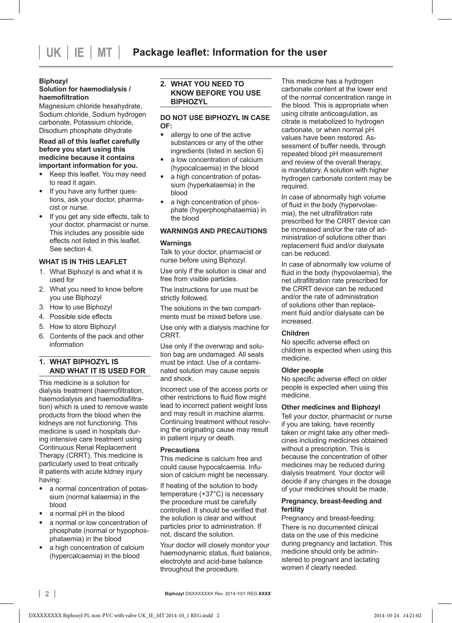#### **Biphozyl Solution for haemodialysis / haemofiltration**

Magnesium chloride hexahydrate, Sodium chloride, Sodium hydrogen carbonate, Potassium chloride, Disodium phosphate dihydrate

# **Read all of this leaflet carefully before you start using this medicine because it contains important information for you.**

- Keep this leaflet. You may need to read it again.
- If you have any further questions, ask your doctor, pharmacist or nurse.
- If you get any side effects, talk to your doctor, pharmacist or nurse. This includes any possible side effects not listed in this leaflet. See section 4.

# **What is in this leaflet**

- 1. What Biphozyl is and what it is used for
- 2. What you need to know before you use Biphozyl
- 3. How to use Biphozyl
- 4. Possible side effects
- 5. How to store Biphozyl
- 6. Contents of the pack and other information

# **1. What Biphozyl is and what it is used for**

This medicine is a solution for dialysis treatment (haemofiltration, haemodialysis and haemodiafiltration) which is used to remove waste products from the blood when the kidneys are not functioning. This medicine is used in hospitals during intensive care treatment using Continuous Renal Replacement Therapy (CRRT). This medicine is particularly used to treat critically ill patients with acute kidney injury having:

- a normal concentration of potassium (normal kalaemia) in the blood
- a normal pH in the blood
- a normal or low concentration of phosphate (normal or hypophosphataemia) in the blood
- a high concentration of calcium (hypercalcaemia) in the blood

# **2. What you need to know before you use Biphozyl**

# **Do not use Biphozyl in case of:**

- allergy to one of the active substances or any of the other ingredients (listed in section 6)
- a low concentration of calcium (hypocalcaemia) in the blood
- a high concentration of potassium (hyperkalaemia) in the blood
- a high concentration of phosphate (hyperphosphataemia) in the blood

# **Warnings and precautions**

# **Warnings**

Talk to your doctor, pharmacist or nurse before using Biphozyl.

Use only if the solution is clear and free from visible particles.

The instructions for use must be strictly followed.

The solutions in the two compartments must be mixed before use.

Use only with a dialysis machine for CRRT.

Use only if the overwrap and solution bag are undamaged. All seals must be intact. Use of a contaminated solution may cause sepsis and shock.

Incorrect use of the access ports or other restrictions to fluid flow might lead to incorrect patient weight loss and may result in machine alarms. Continuing treatment without resolving the originating cause may result in patient injury or death.

# **Precautions**

This medicine is calcium free and could cause hypocalcaemia. Infusion of calcium might be necessary.

If heating of the solution to body temperature (+37°C) is necessary the procedure must be carefully controlled. It should be verified that the solution is clear and without particles prior to administration. If not, discard the solution.

Your doctor will closely monitor your haemodynamic status, fluid balance, electrolyte and acid-base balance throughout the procedure.

This medicine has a hydrogen carbonate content at the lower end of the normal concentration range in the blood. This is appropriate when using citrate anticoagulation, as citrate is metabolized to hydrogen carbonate, or when normal pH values have been restored. Assessment of buffer needs, through repeated blood pH measurement and review of the overall therapy, is mandatory. A solution with higher hydrogen carbonate content may be required.

In case of abnormally high volume of fluid in the body (hypervolaemia), the net ultrafiltration rate prescribed for the CRRT device can be increased and/or the rate of administration of solutions other than replacement fluid and/or dialysate can be reduced.

In case of abnormally low volume of fluid in the body (hypovolaemia), the net ultrafiltration rate prescribed for the CRRT device can be reduced and/or the rate of administration of solutions other than replacement fluid and/or dialysate can be increased.

# **Children**

No specific adverse effect on children is expected when using this medicine.

# **Older people**

No specific adverse effect on older people is expected when using this medicine.

# **Other medicines and Biphozyl**

Tell your doctor, pharmacist or nurse if you are taking, have recently taken or might take any other medicines including medicines obtained without a prescription. This is because the concentration of other medicines may be reduced during dialysis treatment. Your doctor will decide if any changes in the dosage of your medicines should be made.

# **Pregnancy, breast-feeding and fertility**

Pregnancy and breast-feeding: There is no documented clinical data on the use of this medicine during pregnancy and lactation. This medicine should only be administered to pregnant and lactating women if clearly needed.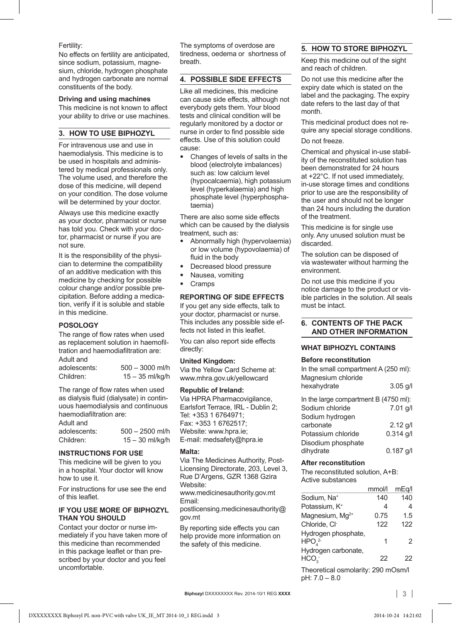#### Fertility:

No effects on fertility are anticipated, since sodium, potassium, magnesium, chloride, hydrogen phosphate and hydrogen carbonate are normal constituents of the body.

# **Driving and using machines**

This medicine is not known to affect your ability to drive or use machines.

# **3. How to use Biphozyl**

For intravenous use and use in haemodialysis. This medicine is to be used in hospitals and administered by medical professionals only. The volume used, and therefore the dose of this medicine, will depend on your condition. The dose volume will be determined by your doctor.

Always use this medicine exactly as your doctor, pharmacist or nurse has told you. Check with your doctor, pharmacist or nurse if you are not sure.

It is the responsibility of the physician to determine the compatibility of an additive medication with this medicine by checking for possible colour change and/or possible precipitation. Before adding a medication, verify if it is soluble and stable in this medicine.

# **Posology**

The range of flow rates when used as replacement solution in haemofiltration and haemodiafiltration are: Adult and

| adolescents: | $500 - 3000$ ml/h |
|--------------|-------------------|
| Children:    | $15 - 35$ ml/kg/h |

The range of flow rates when used as dialysis fluid (dialysate) in continuous haemodialysis and continuous haemodiafiltration are: Adult and

| adolescents: | $500 - 2500$ ml/h |
|--------------|-------------------|
| Children:    | 15 – 30 ml/kg/h   |

# **Instructions for use**

This medicine will be given to you in a hospital. Your doctor will know how to use it.

For instructions for use see the end of this leaflet.

# **If you use more of Biphozyl than you should**

Contact your doctor or nurse immediately if you have taken more of this medicine than recommended in this package leaflet or than prescribed by your doctor and you feel uncomfortable.

The symptoms of overdose are tiredness, oedema or shortness of breath.

# **4. Possible side effects**

Like all medicines, this medicine can cause side effects, although not everybody gets them. Your blood tests and clinical condition will be regularly monitored by a doctor or nurse in order to find possible side effects. Use of this solution could cause:

• Changes of levels of salts in the blood (electrolyte imbalances) such as: low calcium level (hypocalcaemia), high potassium level (hyperkalaemia) and high phosphate level (hyperphosphataemia)

There are also some side effects which can be caused by the dialysis treatment, such as:

- Abnormally high (hypervolaemia) or low volume (hypovolaemia) of fluid in the body
- Decreased blood pressure
- Nausea, vomiting
- **Cramps**

# **Reporting of side effects**

If you get any side effects, talk to your doctor, pharmacist or nurse. This includes any possible side effects not listed in this leaflet.

You can also report side effects directly:

#### **United Kingdom:**

Via the Yellow Card Scheme at: www.mhra.gov.uk/yellowcard

#### **Republic of Ireland:**

Via HPRA Pharmacovigilance, Earlsfort Terrace, IRL - Dublin 2; Tel: +353 1 6764971; Fax: +353 1 6762517; Website: www.hpra.ie; E-mail: medsafety@hpra.ie

#### **Malta:**

Via The Medicines Authority, Post-Licensing Directorate, 203, Level 3, Rue D'Argens, GZR 1368 Gzira Website: www.medicinesauthority.gov.mt

Email:

postlicensing.medicinesauthority@ gov.mt

By reporting side effects you can help provide more information on the safety of this medicine.

# **5. How to store Biphozyl**

Keep this medicine out of the sight and reach of children.

Do not use this medicine after the expiry date which is stated on the label and the packaging. The expiry date refers to the last day of that month.

This medicinal product does not require any special storage conditions. Do not freeze.

Chemical and physical in-use stability of the reconstituted solution has been demonstrated for 24 hours at +22°C. If not used immediately, in-use storage times and conditions prior to use are the responsibility of the user and should not be longer than 24 hours including the duration of the treatment.

This medicine is for single use only. Any unused solution must be discarded.

The solution can be disposed of via wastewater without harming the environment.

Do not use this medicine if you notice damage to the product or visible particles in the solution. All seals must be intact.

# **6. Contents of the pack and other information**

# **What Biphozyl contains**

#### **Before reconstitution**

| In the small compartment A (250 ml):<br>Magnesium chloride |             |  |  |
|------------------------------------------------------------|-------------|--|--|
| hexahydrate                                                | $3.05$ g/l  |  |  |
| In the large compartment B (4750 ml):                      |             |  |  |
| Sodium chloride                                            | $7.01$ g/l  |  |  |
| Sodium hydrogen                                            |             |  |  |
| carbonate                                                  | $2.12$ g/l  |  |  |
| Potassium chloride                                         | $0.314$ g/l |  |  |
| Disodium phosphate                                         |             |  |  |
| dihydrate                                                  | $0.187$ q/l |  |  |
| After reconstitution                                       |             |  |  |

The reconstituted solution, A+B: Active substances

|                                                     | mmol/l | mEg/l |
|-----------------------------------------------------|--------|-------|
| Sodium. Na <sup>+</sup>                             | 140    | 140   |
| Potassium. K <sup>+</sup>                           | 4      | 4     |
| Magnesium, Mg <sup>2+</sup>                         | 0.75   | 1.5   |
| Chloride. Cl <sup>-</sup>                           | 122    | 122   |
| Hydrogen phosphate,<br>HPO <sub>2</sub>             | 1      | 2     |
| Hydrogen carbonate,<br>HCO <sub>3</sub>             | 22     | 22    |
| Theoretical osmolarity: 290 mOsm/l<br>pH: 7.0 - 8.0 |        |       |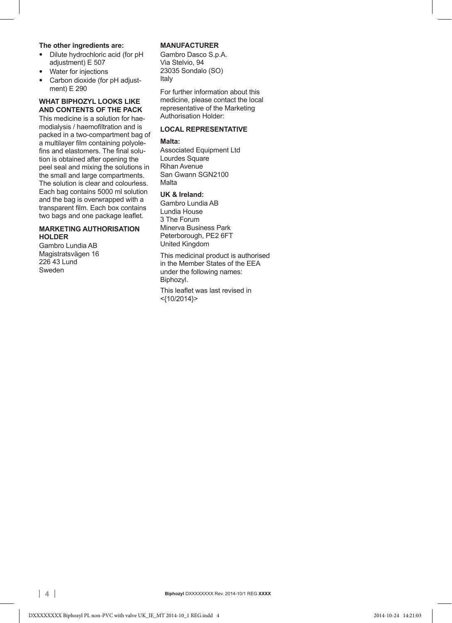#### **The other ingredients are:**

- Dilute hydrochloric acid (for pH adjustment) E 507
- Water for injections
- Carbon dioxide (for pH adjustment) E 290

# **What Biphozyl looks like and contents of the pack**

This medicine is a solution for haemodialysis / haemofiltration and is packed in a two-compartment bag of a multilayer film containing polyolefins and elastomers. The final solution is obtained after opening the peel seal and mixing the solutions in the small and large compartments. The solution is clear and colourless. Each bag contains 5000 ml solution and the bag is overwrapped with a transparent film. Each box contains two bags and one package leaflet.

# **Marketing Authorisation HOLDER**

Gambro Lundia AB Magistratsvägen 16 226 43 Lund Sweden

## **Manufacturer**

Gambro Dasco S.p.A. Via Stelvio, 94 23035 Sondalo (SO) Italy

For further information about this medicine, please contact the local representative of the Marketing Authorisation Holder:

# **Local representative**

#### **Malta:**

Associated Equipment Ltd Lourdes Square Rihan Avenue San Gwann SGN2100 Malta

# **UK & Ireland:**

Gambro Lundia AB Lundia House 3 The Forum Minerva Business Park Peterborough, PE2 6FT United Kingdom

This medicinal product is authorised in the Member States of the EEA under the following names: Biphozyl. This leaflet was last revised in <{10/2014}>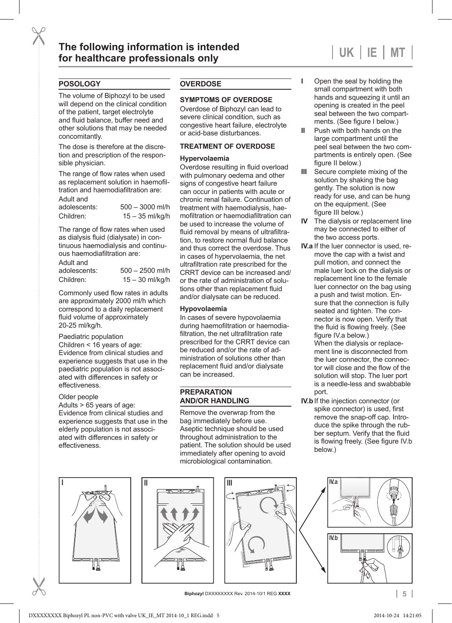# **The following information is intended for healthcare professionals only**

# **Posology**

 $\chi$ 

The volume of Biphozyl to be used will depend on the clinical condition of the patient, target electrolyte and fluid balance, buffer need and other solutions that may be needed concomitantly.

The dose is therefore at the discretion and prescription of the responsible physician.

The range of flow rates when used as replacement solution in haemofiltration and haemodiafiltration are: Adult and

| adolescents: | $500 - 3000$ ml/h |
|--------------|-------------------|
| Children:    | 15 – 35 ml/kg/h   |

The range of flow rates when used as dialysis fluid (dialysate) in continuous haemodialysis and continuous haemodiafiltration are: Adult and

| Auun anu     |                   |
|--------------|-------------------|
| adolescents: | $500 - 2500$ ml/h |
| Children:    | $15 - 30$ ml/kg/h |

Commonly used flow rates in adults are approximately 2000 ml/h which correspond to a daily replacement fluid volume of approximately 20-25 ml/kg/h.

Paediatric population Children < 16 years of age: Evidence from clinical studies and experience suggests that use in the paediatric population is not associated with differences in safety or effectiveness.

#### Older people

 $\chi$ 

Adults > 65 years of age: Evidence from clinical studies and experience suggests that use in the elderly population is not associated with differences in safety or effectiveness.

# **Overdose**

# **Symptoms of overdose**

Overdose of Biphozyl can lead to severe clinical condition, such as congestive heart failure, electrolyte or acid-base disturbances.

# **Treatment of overdose**

# **Hypervolaemia**

Overdose resulting in fluid overload with pulmonary oedema and other signs of congestive heart failure can occur in patients with acute or chronic renal failure. Continuation of treatment with haemodialysis, haemofiltration or haemodiafiltration can be used to increase the volume of fluid removal by means of ultrafiltration, to restore normal fluid balance and thus correct the overdose. Thus in cases of hypervolaemia, the net ultrafiltration rate prescribed for the CRRT device can be increased and/ or the rate of administration of solutions other than replacement fluid and/or dialysate can be reduced.

#### **Hypovolaemia**

In cases of severe hypovolaemia during haemofiltration or haemodiafiltration, the net ultrafiltration rate prescribed for the CRRT device can be reduced and/or the rate of administration of solutions other than replacement fluid and/or dialysate can be increased.

#### **Preparation and/or handling**

Remove the overwrap from the bag immediately before use. Aseptic technique should be used throughout administration to the patient. The solution should be used immediately after opening to avoid microbiological contamination.

- **I** Open the seal by holding the small compartment with both hands and squeezing it until an opening is created in the peel seal between the two compartments. (See figure I below.)
- Push with both hands on the large compartment until the peel seal between the two compartments is entirely open. (See figure II below.)
- **III** Secure complete mixing of the solution by shaking the bag gently. The solution is now ready for use, and can be hung on the equipment. (See figure III below.)
- **IV** The dialysis or replacement line may be connected to either of the two access ports.
- **IV.a** If the luer connector is used, remove the cap with a twist and pull motion, and connect the male luer lock on the dialysis or replacement line to the female luer connector on the bag using a push and twist motion. Ensure that the connection is fully seated and tighten. The connector is now open. Verify that the fluid is flowing freely. (See figure IV.a below.) When the dialysis or replacement line is disconnected from the luer connector, the connector will close and the flow of the solution will stop. The luer port is a needle-less and swabbable port.
- **IV.b** If the injection connector (or spike connector) is used, first remove the snap-off cap. Introduce the spike through the rubber septum. Verify that the fluid is flowing freely. (See figure IV.b below.)



# **UK IE MT**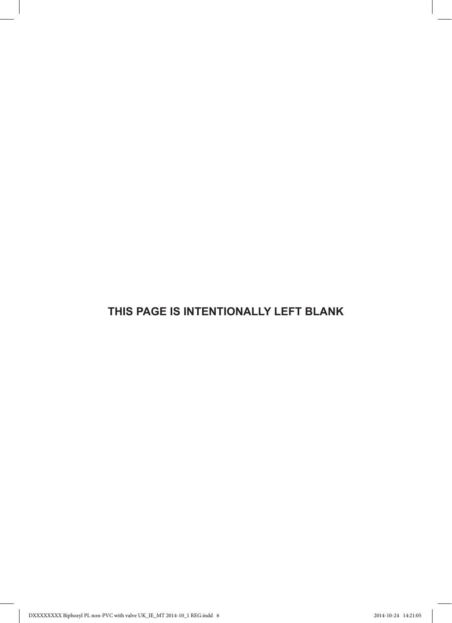**THIS PAGE IS INTENTIONALLY LEFT BLANK**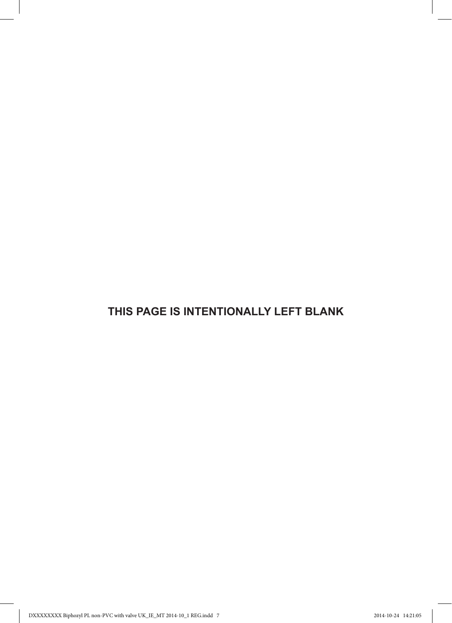**THIS PAGE IS INTENTIONALLY LEFT BLANK**